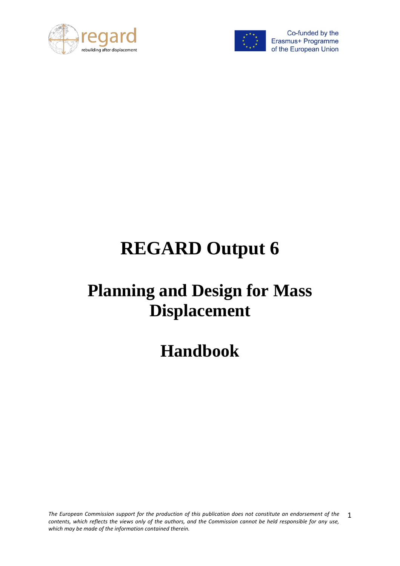



# **REGARD Output 6**

# **Planning and Design for Mass Displacement**

**Handbook**

*The European Commission support for the production of this publication does not constitute an endorsement of the contents, which reflects the views only of the authors, and the Commission cannot be held responsible for any use, which may be made of the information contained therein.* 1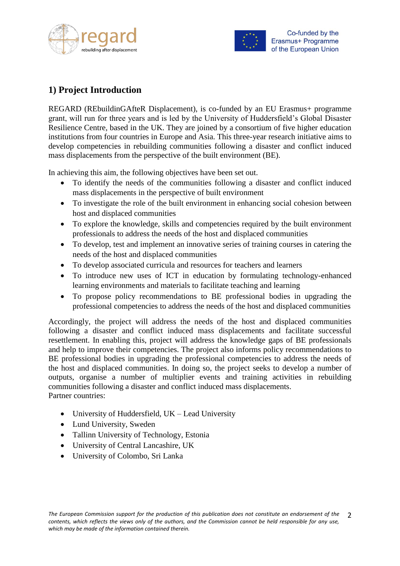



# <span id="page-1-0"></span>**1) Project Introduction**

REGARD (REbuildinGAfteR Displacement), is co-funded by an EU Erasmus+ programme grant, will run for three years and is led by the University of Huddersfield's Global Disaster Resilience Centre, based in the UK. They are joined by a consortium of five higher education institutions from four countries in Europe and Asia. This three-year research initiative aims to develop competencies in rebuilding communities following a disaster and conflict induced mass displacements from the perspective of the built environment (BE).

In achieving this aim, the following objectives have been set out.

- To identify the needs of the communities following a disaster and conflict induced mass displacements in the perspective of built environment
- To investigate the role of the built environment in enhancing social cohesion between host and displaced communities
- To explore the knowledge, skills and competencies required by the built environment professionals to address the needs of the host and displaced communities
- To develop, test and implement an innovative series of training courses in catering the needs of the host and displaced communities
- To develop associated curricula and resources for teachers and learners
- To introduce new uses of ICT in education by formulating technology-enhanced learning environments and materials to facilitate teaching and learning
- To propose policy recommendations to BE professional bodies in upgrading the professional competencies to address the needs of the host and displaced communities

Accordingly, the project will address the needs of the host and displaced communities following a disaster and conflict induced mass displacements and facilitate successful resettlement. In enabling this, project will address the knowledge gaps of BE professionals and help to improve their competencies. The project also informs policy recommendations to BE professional bodies in upgrading the professional competencies to address the needs of the host and displaced communities. In doing so, the project seeks to develop a number of outputs, organise a number of multiplier events and training activities in rebuilding communities following a disaster and conflict induced mass displacements. Partner countries:

- University of Huddersfield, UK Lead University
- Lund University, Sweden
- Tallinn University of Technology, Estonia
- University of Central Lancashire, UK
- University of Colombo, Sri Lanka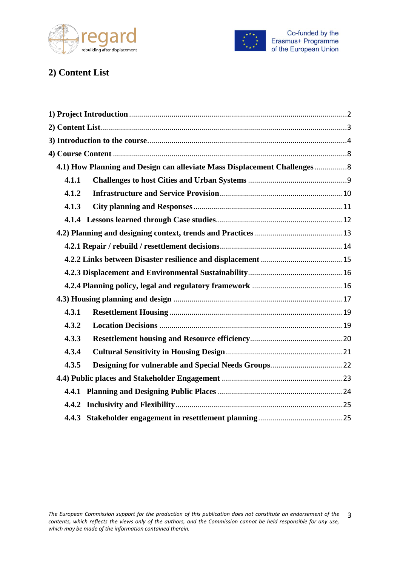



# <span id="page-2-0"></span>**2) Content List**

| 4.1) How Planning and Design can alleviate Mass Displacement Challenges 8 |  |
|---------------------------------------------------------------------------|--|
| 4.1.1                                                                     |  |
| 4.1.2                                                                     |  |
| 4.1.3                                                                     |  |
|                                                                           |  |
|                                                                           |  |
|                                                                           |  |
|                                                                           |  |
|                                                                           |  |
|                                                                           |  |
|                                                                           |  |
| 4.3.1                                                                     |  |
| 4.3.2                                                                     |  |
| 4.3.3                                                                     |  |
| 4.3.4                                                                     |  |
| 4.3.5                                                                     |  |
|                                                                           |  |
|                                                                           |  |
|                                                                           |  |
|                                                                           |  |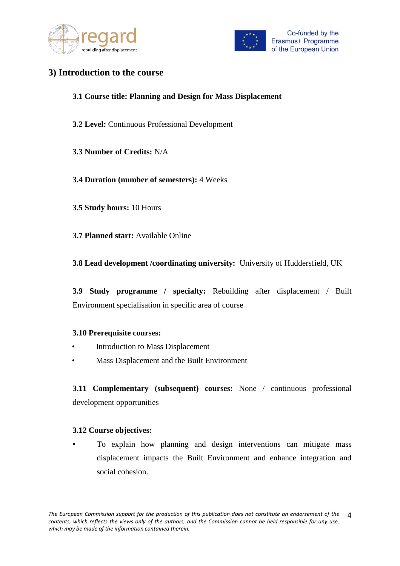



## <span id="page-3-0"></span>**3) Introduction to the course**

#### **3.1 Course title: Planning and Design for Mass Displacement**

- **3.2 Level:** Continuous Professional Development
- **3.3 Number of Credits:** N/A

#### **3.4 Duration (number of semesters):** 4 Weeks

- **3.5 Study hours:** 10 Hours
- **3.7 Planned start:** Available Online
- **3.8 Lead development /coordinating university:** University of Huddersfield, UK

**3.9 Study programme / specialty:** Rebuilding after displacement / Built Environment specialisation in specific area of course

#### **3.10 Prerequisite courses:**

- Introduction to Mass Displacement
- Mass Displacement and the Built Environment

**3.11 Complementary (subsequent) courses:** None / continuous professional development opportunities

#### **3.12 Course objectives:**

• To explain how planning and design interventions can mitigate mass displacement impacts the Built Environment and enhance integration and social cohesion.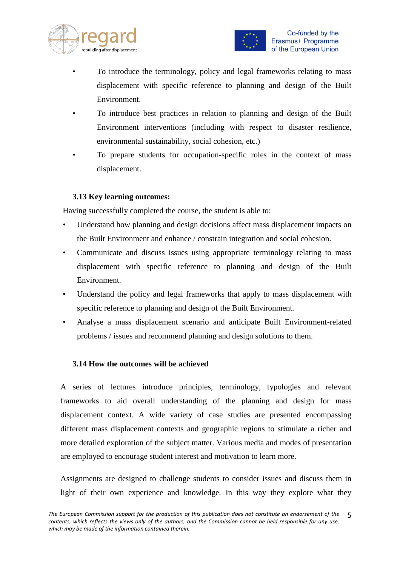



- To introduce the terminology, policy and legal frameworks relating to mass displacement with specific reference to planning and design of the Built Environment.
- To introduce best practices in relation to planning and design of the Built Environment interventions (including with respect to disaster resilience, environmental sustainability, social cohesion, etc.)
- To prepare students for occupation-specific roles in the context of mass displacement.

#### **3.13 Key learning outcomes:**

Having successfully completed the course, the student is able to:

- Understand how planning and design decisions affect mass displacement impacts on the Built Environment and enhance / constrain integration and social cohesion.
- Communicate and discuss issues using appropriate terminology relating to mass displacement with specific reference to planning and design of the Built Environment.
- Understand the policy and legal frameworks that apply to mass displacement with specific reference to planning and design of the Built Environment.
- Analyse a mass displacement scenario and anticipate Built Environment-related problems / issues and recommend planning and design solutions to them.

#### **3.14 How the outcomes will be achieved**

A series of lectures introduce principles, terminology, typologies and relevant frameworks to aid overall understanding of the planning and design for mass displacement context. A wide variety of case studies are presented encompassing different mass displacement contexts and geographic regions to stimulate a richer and more detailed exploration of the subject matter. Various media and modes of presentation are employed to encourage student interest and motivation to learn more.

Assignments are designed to challenge students to consider issues and discuss them in light of their own experience and knowledge. In this way they explore what they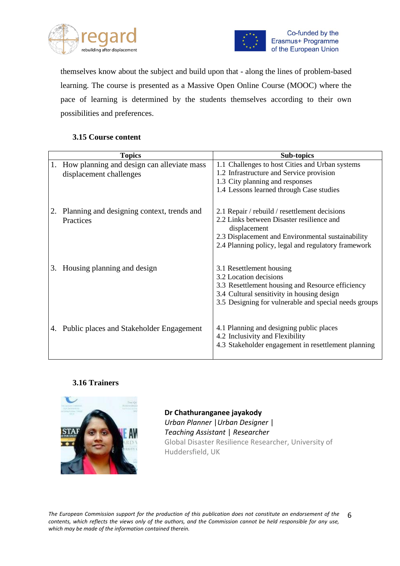



themselves know about the subject and build upon that - along the lines of problem-based learning. The course is presented as a Massive Open Online Course (MOOC) where the pace of learning is determined by the students themselves according to their own possibilities and preferences.

#### **3.15 Course content**

| <b>Topics</b> |                                             | <b>Sub-topics</b>                                                                                                                  |  |  |
|---------------|---------------------------------------------|------------------------------------------------------------------------------------------------------------------------------------|--|--|
| 1.            | How planning and design can alleviate mass  | 1.1 Challenges to host Cities and Urban systems                                                                                    |  |  |
|               | displacement challenges                     | 1.2 Infrastructure and Service provision                                                                                           |  |  |
|               |                                             | 1.3 City planning and responses                                                                                                    |  |  |
|               |                                             | 1.4 Lessons learned through Case studies                                                                                           |  |  |
|               |                                             |                                                                                                                                    |  |  |
|               | Planning and designing context, trends and  | 2.1 Repair / rebuild / resettlement decisions                                                                                      |  |  |
|               | Practices                                   | 2.2 Links between Disaster resilience and<br>displacement                                                                          |  |  |
|               |                                             | 2.3 Displacement and Environmental sustainability                                                                                  |  |  |
|               |                                             | 2.4 Planning policy, legal and regulatory framework                                                                                |  |  |
| 3.            | Housing planning and design                 | 3.1 Resettlement housing<br>3.2 Location decisions<br>3.3 Resettlement housing and Resource efficiency                             |  |  |
|               |                                             | 3.4 Cultural sensitivity in housing design                                                                                         |  |  |
|               |                                             | 3.5 Designing for vulnerable and special needs groups                                                                              |  |  |
|               | 4. Public places and Stakeholder Engagement | 4.1 Planning and designing public places<br>4.2 Inclusivity and Flexibility<br>4.3 Stakeholder engagement in resettlement planning |  |  |

#### **3.16 Trainers**



**Dr Chathuranganee jayakody** *Urban Planner* |*Urban Designer* | *Teaching Assistant* | *Researcher* Global Disaster Resilience Researcher, University of Huddersfield, UK

*The European Commission support for the production of this publication does not constitute an endorsement of the contents, which reflects the views only of the authors, and the Commission cannot be held responsible for any use, which may be made of the information contained therein.* 6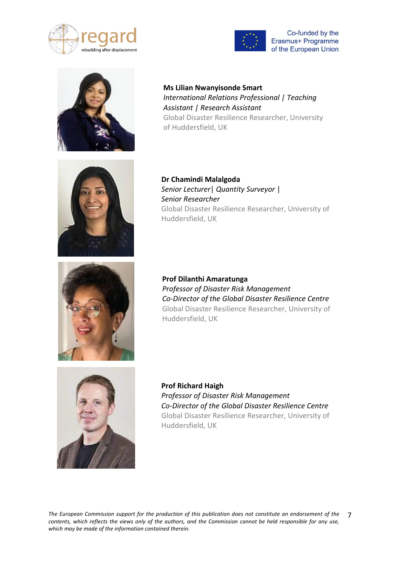





**Ms Lilian Nwanyisonde Smart**  *International Relations Professional | Teaching Assistant | Research Assistant* Global Disaster Resilience Researcher, University of Huddersfield, UK



**Dr Chamindi Malalgoda** *Senior Lecturer*| *Quantity Surveyor* | *Senior Researcher* Global Disaster Resilience Researcher, University of Huddersfield, UK



**Prof Dilanthi Amaratunga** *Professor of Disaster Risk Management Co-Director of the Global Disaster Resilience Centre* Global Disaster Resilience Researcher, University of Huddersfield, UK



**Prof Richard Haigh** *Professor of Disaster Risk Management Co-Director of the Global Disaster Resilience Centre* Global Disaster Resilience Researcher, University of Huddersfield, UK

*The European Commission support for the production of this publication does not constitute an endorsement of the contents, which reflects the views only of the authors, and the Commission cannot be held responsible for any use, which may be made of the information contained therein.* 7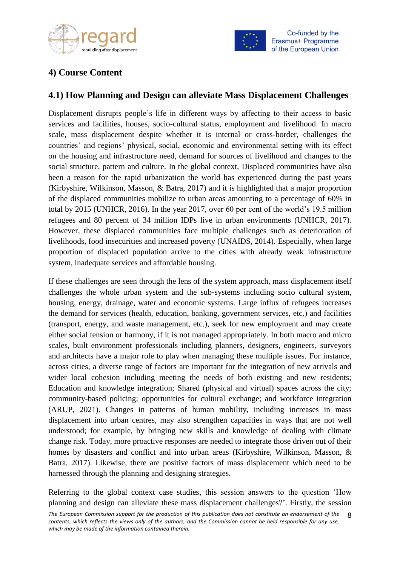



# <span id="page-7-0"></span>**4) Course Content**

## <span id="page-7-1"></span>**4.1) How Planning and Design can alleviate Mass Displacement Challenges**

Displacement disrupts people's life in different ways by affecting to their access to basic services and facilities, houses, socio-cultural status, employment and livelihood. In macro scale, mass displacement despite whether it is internal or cross-border, challenges the countries' and regions' physical, social, economic and environmental setting with its effect on the housing and infrastructure need, demand for sources of livelihood and changes to the social structure, pattern and culture. In the global context, Displaced communities have also been a reason for the rapid urbanization the world has experienced during the past years (Kirbyshire, Wilkinson, Masson, & Batra, 2017) and it is highlighted that a major proportion of the displaced communities mobilize to urban areas amounting to a percentage of 60% in total by 2015 (UNHCR, 2016). In the year 2017, over 60 per cent of the world's 19.5 million refugees and 80 percent of 34 million IDPs live in urban environments (UNHCR, 2017). However, these displaced communities face multiple challenges such as deterioration of livelihoods, food insecurities and increased poverty (UNAIDS, 2014). Especially, when large proportion of displaced population arrive to the cities with already weak infrastructure system, inadequate services and affordable housing.

If these challenges are seen through the lens of the system approach, mass displacement itself challenges the whole urban system and the sub-systems including socio cultural system, housing, energy, drainage, water and economic systems. Large influx of refugees increases the demand for services (health, education, banking, government services, etc.) and facilities (transport, energy, and waste management, etc.), seek for new employment and may create either social tension or harmony, if it is not managed appropriately. In both macro and micro scales, built environment professionals including planners, designers, engineers, surveyors and architects have a major role to play when managing these multiple issues. For instance, across cities, a diverse range of factors are important for the integration of new arrivals and wider local cohesion including meeting the needs of both existing and new residents; Education and knowledge integration; Shared (physical and virtual) spaces across the city; community-based policing; opportunities for cultural exchange; and workforce integration (ARUP, 2021). Changes in patterns of human mobility, including increases in mass displacement into urban centres, may also strengthen capacities in ways that are not well understood; for example, by bringing new skills and knowledge of dealing with climate change risk. Today, more proactive responses are needed to integrate those driven out of their homes by disasters and conflict and into urban areas (Kirbyshire, Wilkinson, Masson, & Batra, 2017). Likewise, there are positive factors of mass displacement which need to be harnessed through the planning and designing strategies.

Referring to the global context case studies, this session answers to the question 'How planning and design can alleviate these mass displacement challenges?'. Firstly, the session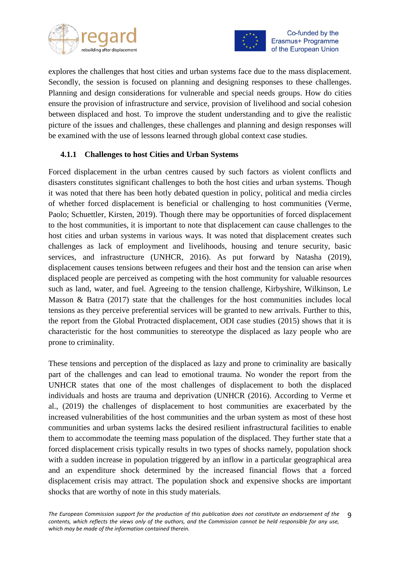



explores the challenges that host cities and urban systems face due to the mass displacement. Secondly, the session is focused on planning and designing responses to these challenges. Planning and design considerations for vulnerable and special needs groups. How do cities ensure the provision of infrastructure and service, provision of livelihood and social cohesion between displaced and host. To improve the student understanding and to give the realistic picture of the issues and challenges, these challenges and planning and design responses will be examined with the use of lessons learned through global context case studies.

#### <span id="page-8-0"></span>**4.1.1 Challenges to host Cities and Urban Systems**

Forced displacement in the urban centres caused by such factors as violent conflicts and disasters constitutes significant challenges to both the host cities and urban systems. Though it was noted that there has been hotly debated question in policy, political and media circles of whether forced displacement is beneficial or challenging to host communities (Verme, Paolo; Schuettler, Kirsten, 2019). Though there may be opportunities of forced displacement to the host communities, it is important to note that displacement can cause challenges to the host cities and urban systems in various ways. It was noted that displacement creates such challenges as lack of employment and livelihoods, housing and tenure security, basic services, and infrastructure (UNHCR, 2016). As put forward by Natasha (2019), displacement causes tensions between refugees and their host and the tension can arise when displaced people are perceived as competing with the host community for valuable resources such as land, water, and fuel. Agreeing to the tension challenge, Kirbyshire, Wilkinson, Le Masson & Batra  $(2017)$  state that the challenges for the host communities includes local tensions as they perceive preferential services will be granted to new arrivals. Further to this, the report from the Global Protracted displacement, ODI case studies (2015) shows that it is characteristic for the host communities to stereotype the displaced as lazy people who are prone to criminality.

These tensions and perception of the displaced as lazy and prone to criminality are basically part of the challenges and can lead to emotional trauma. No wonder the report from the UNHCR states that one of the most challenges of displacement to both the displaced individuals and hosts are trauma and deprivation (UNHCR (2016). According to Verme et al., (2019) the challenges of displacement to host communities are exacerbated by the increased vulnerabilities of the host communities and the urban system as most of these host communities and urban systems lacks the desired resilient infrastructural facilities to enable them to accommodate the teeming mass population of the displaced. They further state that a forced displacement crisis typically results in two types of shocks namely, population shock with a sudden increase in population triggered by an inflow in a particular geographical area and an expenditure shock determined by the increased financial flows that a forced displacement crisis may attract. The population shock and expensive shocks are important shocks that are worthy of note in this study materials.

*The European Commission support for the production of this publication does not constitute an endorsement of the contents, which reflects the views only of the authors, and the Commission cannot be held responsible for any use, which may be made of the information contained therein.* 9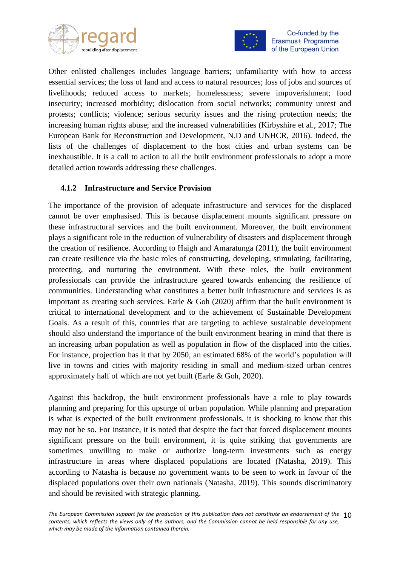



Other enlisted challenges includes language barriers; unfamiliarity with how to access essential services; the loss of land and access to natural resources; loss of jobs and sources of livelihoods; reduced access to markets; homelessness; severe impoverishment; food insecurity; increased morbidity; dislocation from social networks; community unrest and protests; conflicts; violence; serious security issues and the rising protection needs; the increasing human rights abuse; and the increased vulnerabilities (Kirbyshire et al., 2017; The European Bank for Reconstruction and Development, N.D and UNHCR, 2016). Indeed, the lists of the challenges of displacement to the host cities and urban systems can be inexhaustible. It is a call to action to all the built environment professionals to adopt a more detailed action towards addressing these challenges.

#### <span id="page-9-0"></span>**4.1.2 Infrastructure and Service Provision**

The importance of the provision of adequate infrastructure and services for the displaced cannot be over emphasised. This is because displacement mounts significant pressure on these infrastructural services and the built environment. Moreover, the built environment plays a significant role in the reduction of vulnerability of disasters and displacement through the creation of resilience. According to Haigh and Amaratunga (2011), the built environment can create resilience via the basic roles of constructing, developing, stimulating, facilitating, protecting, and nurturing the environment. With these roles, the built environment professionals can provide the infrastructure geared towards enhancing the resilience of communities. Understanding what constitutes a better built infrastructure and services is as important as creating such services. Earle  $\&$  Goh (2020) affirm that the built environment is critical to international development and to the achievement of Sustainable Development Goals. As a result of this, countries that are targeting to achieve sustainable development should also understand the importance of the built environment bearing in mind that there is an increasing urban population as well as population in flow of the displaced into the cities. For instance, projection has it that by 2050, an estimated 68% of the world's population will live in towns and cities with majority residing in small and medium-sized urban centres approximately half of which are not yet built (Earle & Goh, 2020).

Against this backdrop, the built environment professionals have a role to play towards planning and preparing for this upsurge of urban population. While planning and preparation is what is expected of the built environment professionals, it is shocking to know that this may not be so. For instance, it is noted that despite the fact that forced displacement mounts significant pressure on the built environment, it is quite striking that governments are sometimes unwilling to make or authorize long-term investments such as energy infrastructure in areas where displaced populations are located (Natasha, 2019). This according to Natasha is because no government wants to be seen to work in favour of the displaced populations over their own nationals (Natasha, 2019). This sounds discriminatory and should be revisited with strategic planning.

*The European Commission support for the production of this publication does not constitute an endorsement of the*  10 *contents, which reflects the views only of the authors, and the Commission cannot be held responsible for any use, which may be made of the information contained therein.*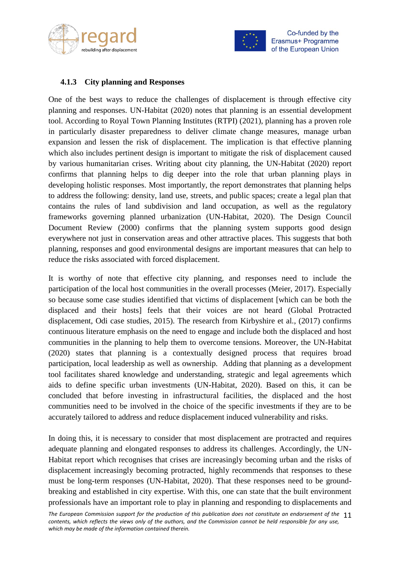



#### <span id="page-10-0"></span>**4.1.3 City planning and Responses**

One of the best ways to reduce the challenges of displacement is through effective city planning and responses. UN-Habitat (2020) notes that planning is an essential development tool. According to Royal Town Planning Institutes (RTPI) (2021), planning has a proven role in particularly disaster preparedness to deliver climate change measures, manage urban expansion and lessen the risk of displacement. The implication is that effective planning which also includes pertinent design is important to mitigate the risk of displacement caused by various humanitarian crises. Writing about city planning, the UN-Habitat (2020) report confirms that planning helps to dig deeper into the role that urban planning plays in developing holistic responses. Most importantly, the report demonstrates that planning helps to address the following: density, land use, streets, and public spaces; create a legal plan that contains the rules of land subdivision and land occupation, as well as the regulatory frameworks governing planned urbanization (UN-Habitat, 2020). The Design Council Document Review (2000) confirms that the planning system supports good design everywhere not just in conservation areas and other attractive places. This suggests that both planning, responses and good environmental designs are important measures that can help to reduce the risks associated with forced displacement.

It is worthy of note that effective city planning, and responses need to include the participation of the local host communities in the overall processes (Meier, 2017). Especially so because some case studies identified that victims of displacement [which can be both the displaced and their hosts] feels that their voices are not heard (Global Protracted displacement, Odi case studies, 2015). The research from Kirbyshire et al., (2017) confirms continuous literature emphasis on the need to engage and include both the displaced and host communities in the planning to help them to overcome tensions. Moreover, the UN-Habitat (2020) states that planning is a contextually designed process that requires broad participation, local leadership as well as ownership. Adding that planning as a development tool facilitates shared knowledge and understanding, strategic and legal agreements which aids to define specific urban investments (UN-Habitat, 2020). Based on this, it can be concluded that before investing in infrastructural facilities, the displaced and the host communities need to be involved in the choice of the specific investments if they are to be accurately tailored to address and reduce displacement induced vulnerability and risks.

In doing this, it is necessary to consider that most displacement are protracted and requires adequate planning and elongated responses to address its challenges. Accordingly, the UN-Habitat report which recognises that crises are increasingly becoming urban and the risks of displacement increasingly becoming protracted, highly recommends that responses to these must be long-term responses (UN-Habitat, 2020). That these responses need to be groundbreaking and established in city expertise. With this, one can state that the built environment professionals have an important role to play in planning and responding to displacements and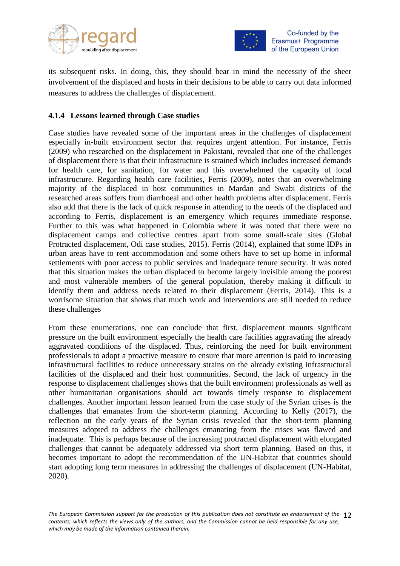



its subsequent risks. In doing, this, they should bear in mind the necessity of the sheer involvement of the displaced and hosts in their decisions to be able to carry out data informed measures to address the challenges of displacement.

#### <span id="page-11-0"></span>**4.1.4 Lessons learned through Case studies**

Case studies have revealed some of the important areas in the challenges of displacement especially in-built environment sector that requires urgent attention. For instance, Ferris (2009) who researched on the displacement in Pakistani, revealed that one of the challenges of displacement there is that their infrastructure is strained which includes increased demands for health care, for sanitation, for water and this overwhelmed the capacity of local infrastructure. Regarding health care facilities, Ferris (2009), notes that an overwhelming majority of the displaced in host communities in Mardan and Swabi districts of the researched areas suffers from diarrhoeal and other health problems after displacement. Ferris also add that there is the lack of quick response in attending to the needs of the displaced and according to Ferris, displacement is an emergency which requires immediate response. Further to this was what happened in Colombia where it was noted that there were no displacement camps and collective centres apart from some small-scale sites (Global Protracted displacement, Odi case studies, 2015). Ferris (2014), explained that some IDPs in urban areas have to rent accommodation and some others have to set up home in informal settlements with poor access to public services and inadequate tenure security. It was noted that this situation makes the urban displaced to become largely invisible among the poorest and most vulnerable members of the general population, thereby making it difficult to identify them and address needs related to their displacement (Ferris, 2014). This is a worrisome situation that shows that much work and interventions are still needed to reduce these challenges

From these enumerations, one can conclude that first, displacement mounts significant pressure on the built environment especially the health care facilities aggravating the already aggravated conditions of the displaced. Thus, reinforcing the need for built environment professionals to adopt a proactive measure to ensure that more attention is paid to increasing infrastructural facilities to reduce unnecessary strains on the already existing infrastructural facilities of the displaced and their host communities. Second, the lack of urgency in the response to displacement challenges shows that the built environment professionals as well as other humanitarian organisations should act towards timely response to displacement challenges. Another important lesson learned from the case study of the Syrian crises is the challenges that emanates from the short-term planning. According to Kelly (2017), the reflection on the early years of the Syrian crisis revealed that the short-term planning measures adopted to address the challenges emanating from the crises was flawed and inadequate. This is perhaps because of the increasing protracted displacement with elongated challenges that cannot be adequately addressed via short term planning. Based on this, it becomes important to adopt the recommendation of the UN-Habitat that countries should start adopting long term measures in addressing the challenges of displacement (UN-Habitat, 2020).

*The European Commission support for the production of this publication does not constitute an endorsement of the*  12 *contents, which reflects the views only of the authors, and the Commission cannot be held responsible for any use, which may be made of the information contained therein.*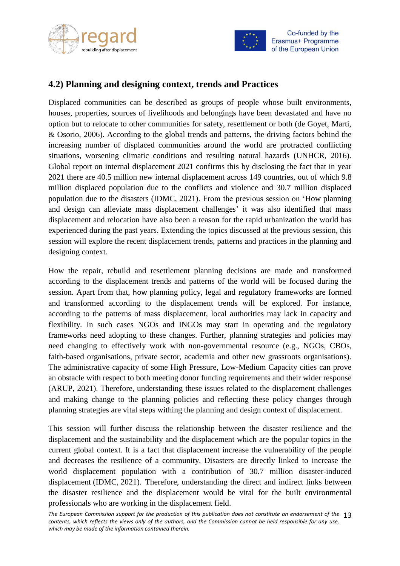



### <span id="page-12-0"></span>**4.2) Planning and designing context, trends and Practices**

Displaced communities can be described as groups of people whose built environments, houses, properties, sources of livelihoods and belongings have been devastated and have no option but to relocate to other communities for safety, resettlement or both (de Goyet, Marti, & Osorio, 2006). According to the global trends and patterns, the driving factors behind the increasing number of displaced communities around the world are protracted conflicting situations, worsening climatic conditions and resulting natural hazards (UNHCR, 2016). Global report on internal displacement 2021 confirms this by disclosing the fact that in year 2021 there are 40.5 million new internal displacement across 149 countries, out of which 9.8 million displaced population due to the conflicts and violence and 30.7 million displaced population due to the disasters (IDMC, 2021). From the previous session on 'How planning and design can alleviate mass displacement challenges' it was also identified that mass displacement and relocation have also been a reason for the rapid urbanization the world has experienced during the past years. Extending the topics discussed at the previous session, this session will explore the recent displacement trends, patterns and practices in the planning and designing context.

How the repair, rebuild and resettlement planning decisions are made and transformed according to the displacement trends and patterns of the world will be focused during the session. Apart from that, how planning policy, legal and regulatory frameworks are formed and transformed according to the displacement trends will be explored. For instance, according to the patterns of mass displacement, local authorities may lack in capacity and flexibility. In such cases NGOs and INGOs may start in operating and the regulatory frameworks need adopting to these changes. Further, planning strategies and policies may need changing to effectively work with non-governmental resource (e.g., NGOs, CBOs, faith-based organisations, private sector, academia and other new grassroots organisations). The administrative capacity of some High Pressure, Low-Medium Capacity cities can prove an obstacle with respect to both meeting donor funding requirements and their wider response (ARUP, 2021). Therefore, understanding these issues related to the displacement challenges and making change to the planning policies and reflecting these policy changes through planning strategies are vital steps withing the planning and design context of displacement.

This session will further discuss the relationship between the disaster resilience and the displacement and the sustainability and the displacement which are the popular topics in the current global context. It is a fact that displacement increase the vulnerability of the people and decreases the resilience of a community. Disasters are directly linked to increase the world displacement population with a contribution of 30.7 million disaster-induced displacement (IDMC, 2021). Therefore, understanding the direct and indirect links between the disaster resilience and the displacement would be vital for the built environmental professionals who are working in the displacement field.

The European Commission support for the production of this publication does not constitute an endorsement of the 13 *contents, which reflects the views only of the authors, and the Commission cannot be held responsible for any use, which may be made of the information contained therein.*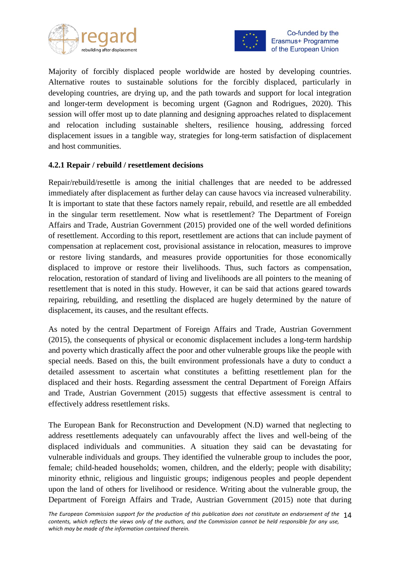



Majority of forcibly displaced people worldwide are hosted by developing countries. Alternative routes to sustainable solutions for the forcibly displaced, particularly in developing countries, are drying up, and the path towards and support for local integration and longer-term development is becoming urgent (Gagnon and Rodrigues, 2020). This session will offer most up to date planning and designing approaches related to displacement and relocation including sustainable shelters, resilience housing, addressing forced displacement issues in a tangible way, strategies for long-term satisfaction of displacement and host communities.

#### <span id="page-13-0"></span>**4.2.1 Repair / rebuild / resettlement decisions**

Repair/rebuild/resettle is among the initial challenges that are needed to be addressed immediately after displacement as further delay can cause havocs via increased vulnerability. It is important to state that these factors namely repair, rebuild, and resettle are all embedded in the singular term resettlement. Now what is resettlement? The Department of Foreign Affairs and Trade, Austrian Government (2015) provided one of the well worded definitions of resettlement. According to this report, resettlement are actions that can include payment of compensation at replacement cost, provisional assistance in relocation, measures to improve or restore living standards, and measures provide opportunities for those economically displaced to improve or restore their livelihoods. Thus, such factors as compensation, relocation, restoration of standard of living and livelihoods are all pointers to the meaning of resettlement that is noted in this study. However, it can be said that actions geared towards repairing, rebuilding, and resettling the displaced are hugely determined by the nature of displacement, its causes, and the resultant effects.

As noted by the central Department of Foreign Affairs and Trade, Austrian Government (2015), the consequents of physical or economic displacement includes a long-term hardship and poverty which drastically affect the poor and other vulnerable groups like the people with special needs. Based on this, the built environment professionals have a duty to conduct a detailed assessment to ascertain what constitutes a befitting resettlement plan for the displaced and their hosts. Regarding assessment the central Department of Foreign Affairs and Trade, Austrian Government (2015) suggests that effective assessment is central to effectively address resettlement risks.

The European Bank for Reconstruction and Development (N.D) warned that neglecting to address resettlements adequately can unfavourably affect the lives and well-being of the displaced individuals and communities. A situation they said can be devastating for vulnerable individuals and groups. They identified the vulnerable group to includes the poor, female; child-headed households; women, children, and the elderly; people with disability; minority ethnic, religious and linguistic groups; indigenous peoples and people dependent upon the land of others for livelihood or residence. Writing about the vulnerable group, the Department of Foreign Affairs and Trade, Austrian Government (2015) note that during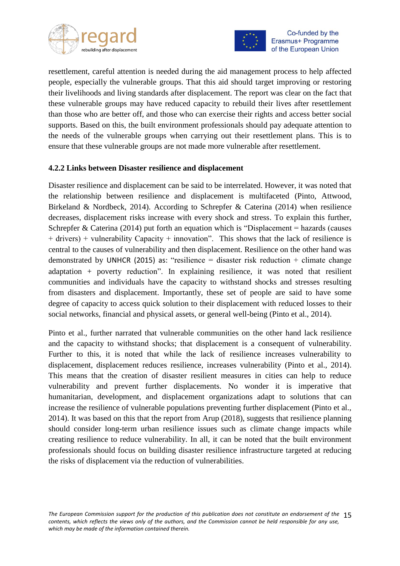



resettlement, careful attention is needed during the aid management process to help affected people, especially the vulnerable groups. That this aid should target improving or restoring their livelihoods and living standards after displacement. The report was clear on the fact that these vulnerable groups may have reduced capacity to rebuild their lives after resettlement than those who are better off, and those who can exercise their rights and access better social supports. Based on this, the built environment professionals should pay adequate attention to the needs of the vulnerable groups when carrying out their resettlement plans. This is to ensure that these vulnerable groups are not made more vulnerable after resettlement.

#### <span id="page-14-0"></span>**4.2.2 Links between Disaster resilience and displacement**

Disaster resilience and displacement can be said to be interrelated. However, it was noted that the relationship between resilience and displacement is multifaceted (Pinto, Attwood, Birkeland & Nordbeck, 2014). According to Schrepfer & Caterina (2014) when resilience decreases, displacement risks increase with every shock and stress. To explain this further, Schrepfer & Caterina (2014) put forth an equation which is "Displacement = hazards (causes + drivers) + vulnerability Capacity + innovation". This shows that the lack of resilience is central to the causes of vulnerability and then displacement. Resilience on the other hand was demonstrated by UNHCR (2015) as: "resilience = disaster risk reduction + climate change adaptation + poverty reduction". In explaining resilience, it was noted that resilient communities and individuals have the capacity to withstand shocks and stresses resulting from disasters and displacement. Importantly, these set of people are said to have some degree of capacity to access quick solution to their displacement with reduced losses to their social networks, financial and physical assets, or general well-being (Pinto et al., 2014).

Pinto et al., further narrated that vulnerable communities on the other hand lack resilience and the capacity to withstand shocks; that displacement is a consequent of vulnerability. Further to this, it is noted that while the lack of resilience increases vulnerability to displacement, displacement reduces resilience, increases vulnerability (Pinto et al., 2014). This means that the creation of disaster resilient measures in cities can help to reduce vulnerability and prevent further displacements. No wonder it is imperative that humanitarian, development, and displacement organizations adapt to solutions that can increase the resilience of vulnerable populations preventing further displacement (Pinto et al., 2014). It was based on this that the report from Arup (2018), suggests that resilience planning should consider long-term urban resilience issues such as climate change impacts while creating resilience to reduce vulnerability. In all, it can be noted that the built environment professionals should focus on building disaster resilience infrastructure targeted at reducing the risks of displacement via the reduction of vulnerabilities.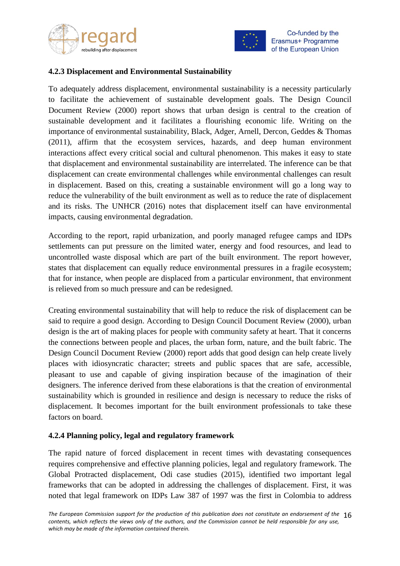



#### <span id="page-15-0"></span>**4.2.3 Displacement and Environmental Sustainability**

To adequately address displacement, environmental sustainability is a necessity particularly to facilitate the achievement of sustainable development goals. The Design Council Document Review (2000) report shows that urban design is central to the creation of sustainable development and it facilitates a flourishing economic life. Writing on the importance of environmental sustainability, Black, Adger, Arnell, Dercon, Geddes & Thomas (2011), affirm that the ecosystem services, hazards, and deep human environment interactions affect every critical social and cultural phenomenon. This makes it easy to state that displacement and environmental sustainability are interrelated. The inference can be that displacement can create environmental challenges while environmental challenges can result in displacement. Based on this, creating a sustainable environment will go a long way to reduce the vulnerability of the built environment as well as to reduce the rate of displacement and its risks. The UNHCR (2016) notes that displacement itself can have environmental impacts, causing environmental degradation.

According to the report, rapid urbanization, and poorly managed refugee camps and IDPs settlements can put pressure on the limited water, energy and food resources, and lead to uncontrolled waste disposal which are part of the built environment. The report however, states that displacement can equally reduce environmental pressures in a fragile ecosystem; that for instance, when people are displaced from a particular environment, that environment is relieved from so much pressure and can be redesigned.

Creating environmental sustainability that will help to reduce the risk of displacement can be said to require a good design. According to Design Council Document Review (2000), urban design is the art of making places for people with community safety at heart. That it concerns the connections between people and places, the urban form, nature, and the built fabric. The Design Council Document Review (2000) report adds that good design can help create lively places with idiosyncratic character; streets and public spaces that are safe, accessible, pleasant to use and capable of giving inspiration because of the imagination of their designers. The inference derived from these elaborations is that the creation of environmental sustainability which is grounded in resilience and design is necessary to reduce the risks of displacement. It becomes important for the built environment professionals to take these factors on board.

#### <span id="page-15-1"></span>**4.2.4 Planning policy, legal and regulatory framework**

The rapid nature of forced displacement in recent times with devastating consequences requires comprehensive and effective planning policies, legal and regulatory framework. The Global Protracted displacement, Odi case studies (2015), identified two important legal frameworks that can be adopted in addressing the challenges of displacement. First, it was noted that legal framework on IDPs Law 387 of 1997 was the first in Colombia to address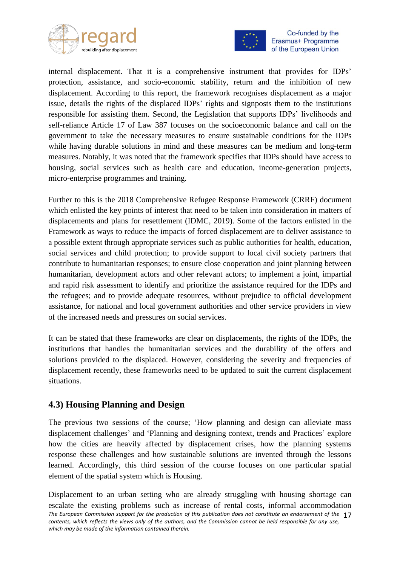



internal displacement. That it is a comprehensive instrument that provides for IDPs' protection, assistance, and socio-economic stability, return and the inhibition of new displacement. According to this report, the framework recognises displacement as a major issue, details the rights of the displaced IDPs' rights and signposts them to the institutions responsible for assisting them. Second, the Legislation that supports IDPs' livelihoods and self-reliance Article 17 of Law 387 focuses on the socioeconomic balance and call on the government to take the necessary measures to ensure sustainable conditions for the IDPs while having durable solutions in mind and these measures can be medium and long-term measures. Notably, it was noted that the framework specifies that IDPs should have access to housing, social services such as health care and education, income-generation projects, micro-enterprise programmes and training.

Further to this is the 2018 Comprehensive Refugee Response Framework (CRRF) document which enlisted the key points of interest that need to be taken into consideration in matters of displacements and plans for resettlement (IDMC, 2019). Some of the factors enlisted in the Framework as ways to reduce the impacts of forced displacement are to deliver assistance to a possible extent through appropriate services such as public authorities for health, education, social services and child protection; to provide support to local civil society partners that contribute to humanitarian responses; to ensure close cooperation and joint planning between humanitarian, development actors and other relevant actors; to implement a joint, impartial and rapid risk assessment to identify and prioritize the assistance required for the IDPs and the refugees; and to provide adequate resources, without prejudice to official development assistance, for national and local government authorities and other service providers in view of the increased needs and pressures on social services.

It can be stated that these frameworks are clear on displacements, the rights of the IDPs, the institutions that handles the humanitarian services and the durability of the offers and solutions provided to the displaced. However, considering the severity and frequencies of displacement recently, these frameworks need to be updated to suit the current displacement situations.

### <span id="page-16-0"></span>**4.3) Housing Planning and Design**

The previous two sessions of the course; 'How planning and design can alleviate mass displacement challenges' and 'Planning and designing context, trends and Practices' explore how the cities are heavily affected by displacement crises, how the planning systems response these challenges and how sustainable solutions are invented through the lessons learned. Accordingly, this third session of the course focuses on one particular spatial element of the spatial system which is Housing.

*The European Commission support for the production of this publication does not constitute an endorsement of the*  17 *contents, which reflects the views only of the authors, and the Commission cannot be held responsible for any use, which may be made of the information contained therein.* Displacement to an urban setting who are already struggling with housing shortage can escalate the existing problems such as increase of rental costs, informal accommodation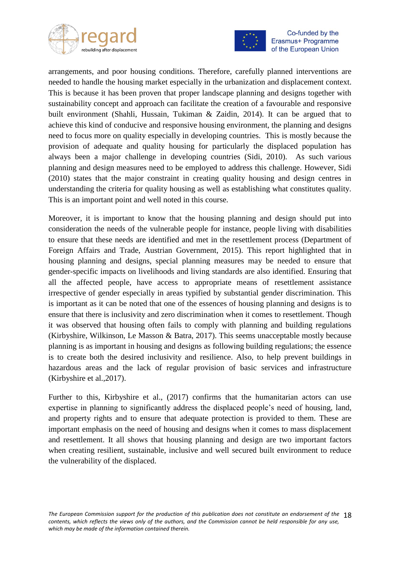



arrangements, and poor housing conditions. Therefore, carefully planned interventions are needed to handle the housing market especially in the urbanization and displacement context. This is because it has been proven that proper landscape planning and designs together with sustainability concept and approach can facilitate the creation of a favourable and responsive built environment (Shahli, Hussain, Tukiman & Zaidin, 2014). It can be argued that to achieve this kind of conducive and responsive housing environment, the planning and designs need to focus more on quality especially in developing countries. This is mostly because the provision of adequate and quality housing for particularly the displaced population has always been a major challenge in developing countries (Sidi, 2010). As such various planning and design measures need to be employed to address this challenge. However, Sidi (2010) states that the major constraint in creating quality housing and design centres in understanding the criteria for quality housing as well as establishing what constitutes quality. This is an important point and well noted in this course.

Moreover, it is important to know that the housing planning and design should put into consideration the needs of the vulnerable people for instance, people living with disabilities to ensure that these needs are identified and met in the resettlement process (Department of Foreign Affairs and Trade, Austrian Government, 2015). This report highlighted that in housing planning and designs, special planning measures may be needed to ensure that gender-specific impacts on livelihoods and living standards are also identified. Ensuring that all the affected people, have access to appropriate means of resettlement assistance irrespective of gender especially in areas typified by substantial gender discrimination. This is important as it can be noted that one of the essences of housing planning and designs is to ensure that there is inclusivity and zero discrimination when it comes to resettlement. Though it was observed that housing often fails to comply with planning and building regulations (Kirbyshire, Wilkinson, Le Masson & Batra, 2017). This seems unacceptable mostly because planning is as important in housing and designs as following building regulations; the essence is to create both the desired inclusivity and resilience. Also, to help prevent buildings in hazardous areas and the lack of regular provision of basic services and infrastructure (Kirbyshire et al.,2017).

Further to this, Kirbyshire et al., (2017) confirms that the humanitarian actors can use expertise in planning to significantly address the displaced people's need of housing, land, and property rights and to ensure that adequate protection is provided to them. These are important emphasis on the need of housing and designs when it comes to mass displacement and resettlement. It all shows that housing planning and design are two important factors when creating resilient, sustainable, inclusive and well secured built environment to reduce the vulnerability of the displaced.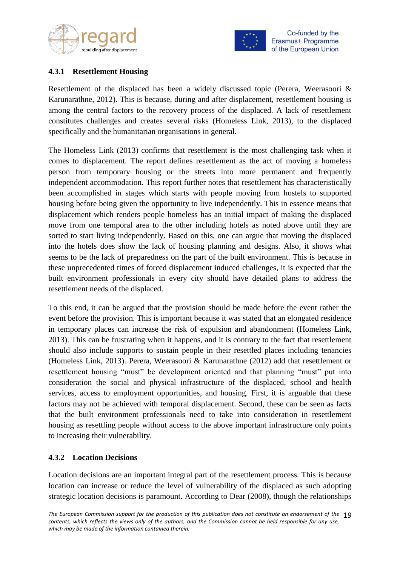



#### <span id="page-18-0"></span>**4.3.1 Resettlement Housing**

Resettlement of the displaced has been a widely discussed topic (Perera, Weerasoori & Karunarathne, 2012). This is because, during and after displacement, resettlement housing is among the central factors to the recovery process of the displaced. A lack of resettlement constitutes challenges and creates several risks (Homeless Link, 2013), to the displaced specifically and the humanitarian organisations in general.

The Homeless Link (2013) confirms that resettlement is the most challenging task when it comes to displacement. The report defines resettlement as the act of moving a homeless person from temporary housing or the streets into more permanent and frequently independent accommodation. This report further notes that resettlement has characteristically been accomplished in stages which starts with people moving from hostels to supported housing before being given the opportunity to live independently. This in essence means that displacement which renders people homeless has an initial impact of making the displaced move from one temporal area to the other including hotels as noted above until they are sorted to start living independently. Based on this, one can argue that moving the displaced into the hotels does show the lack of housing planning and designs. Also, it shows what seems to be the lack of preparedness on the part of the built environment. This is because in these unprecedented times of forced displacement induced challenges, it is expected that the built environment professionals in every city should have detailed plans to address the resettlement needs of the displaced.

To this end, it can be argued that the provision should be made before the event rather the event before the provision. This is important because it was stated that an elongated residence in temporary places can increase the risk of expulsion and abandonment (Homeless Link, 2013). This can be frustrating when it happens, and it is contrary to the fact that resettlement should also include supports to sustain people in their resettled places including tenancies (Homeless Link, 2013). Perera, Weerasoori & Karunarathne (2012) add that resettlement or resettlement housing "must" be development oriented and that planning "must" put into consideration the social and physical infrastructure of the displaced, school and health services, access to employment opportunities, and housing. First, it is arguable that these factors may not be achieved with temporal displacement. Second, these can be seen as facts that the built environment professionals need to take into consideration in resettlement housing as resettling people without access to the above important infrastructure only points to increasing their vulnerability.

#### <span id="page-18-1"></span>**4.3.2 Location Decisions**

Location decisions are an important integral part of the resettlement process. This is because location can increase or reduce the level of vulnerability of the displaced as such adopting strategic location decisions is paramount. According to Dear (2008), though the relationships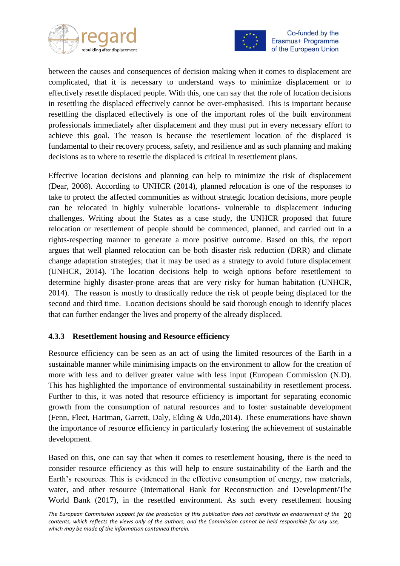



between the causes and consequences of decision making when it comes to displacement are complicated, that it is necessary to understand ways to minimize displacement or to effectively resettle displaced people. With this, one can say that the role of location decisions in resettling the displaced effectively cannot be over-emphasised. This is important because resettling the displaced effectively is one of the important roles of the built environment professionals immediately after displacement and they must put in every necessary effort to achieve this goal. The reason is because the resettlement location of the displaced is fundamental to their recovery process, safety, and resilience and as such planning and making decisions as to where to resettle the displaced is critical in resettlement plans.

Effective location decisions and planning can help to minimize the risk of displacement (Dear, 2008). According to UNHCR (2014), planned relocation is one of the responses to take to protect the affected communities as without strategic location decisions, more people can be relocated in highly vulnerable locations- vulnerable to displacement inducing challenges. Writing about the States as a case study, the UNHCR proposed that future relocation or resettlement of people should be commenced, planned, and carried out in a rights-respecting manner to generate a more positive outcome. Based on this, the report argues that well planned relocation can be both disaster risk reduction (DRR) and climate change adaptation strategies; that it may be used as a strategy to avoid future displacement (UNHCR, 2014). The location decisions help to weigh options before resettlement to determine highly disaster-prone areas that are very risky for human habitation (UNHCR, 2014). The reason is mostly to drastically reduce the risk of people being displaced for the second and third time. Location decisions should be said thorough enough to identify places that can further endanger the lives and property of the already displaced.

#### <span id="page-19-0"></span>**4.3.3 Resettlement housing and Resource efficiency**

Resource efficiency can be seen as an act of using the limited resources of the Earth in a sustainable manner while minimising impacts on the environment to allow for the creation of more with less and to deliver greater value with less input (European Commission (N.D). This has highlighted the importance of environmental sustainability in resettlement process. Further to this, it was noted that resource efficiency is important for separating economic growth from the consumption of natural resources and to foster sustainable development (Fenn, Fleet, Hartman, Garrett, Daly, Elding & Udo,2014). These enumerations have shown the importance of resource efficiency in particularly fostering the achievement of sustainable development.

Based on this, one can say that when it comes to resettlement housing, there is the need to consider resource efficiency as this will help to ensure sustainability of the Earth and the Earth's resources. This is evidenced in the effective consumption of energy, raw materials, water, and other resource (International Bank for Reconstruction and Development/The World Bank (2017), in the resettled environment. As such every resettlement housing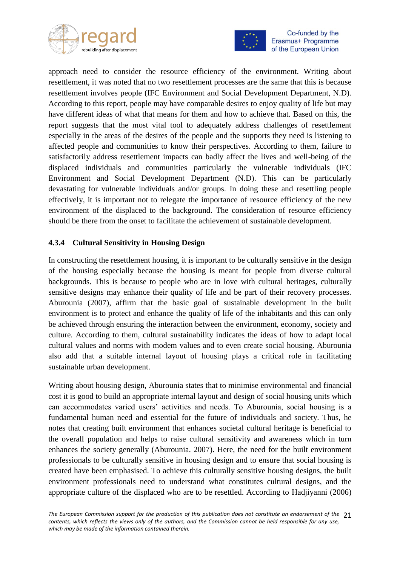



approach need to consider the resource efficiency of the environment. Writing about resettlement, it was noted that no two resettlement processes are the same that this is because resettlement involves people (IFC Environment and Social Development Department, N.D). According to this report, people may have comparable desires to enjoy quality of life but may have different ideas of what that means for them and how to achieve that. Based on this, the report suggests that the most vital tool to adequately address challenges of resettlement especially in the areas of the desires of the people and the supports they need is listening to affected people and communities to know their perspectives. According to them, failure to satisfactorily address resettlement impacts can badly affect the lives and well-being of the displaced individuals and communities particularly the vulnerable individuals (IFC Environment and Social Development Department (N.D). This can be particularly devastating for vulnerable individuals and/or groups. In doing these and resettling people effectively, it is important not to relegate the importance of resource efficiency of the new environment of the displaced to the background. The consideration of resource efficiency should be there from the onset to facilitate the achievement of sustainable development.

#### <span id="page-20-0"></span>**4.3.4 Cultural Sensitivity in Housing Design**

In constructing the resettlement housing, it is important to be culturally sensitive in the design of the housing especially because the housing is meant for people from diverse cultural backgrounds. This is because to people who are in love with cultural heritages, culturally sensitive designs may enhance their quality of life and be part of their recovery processes. Aburounia (2007), affirm that the basic goal of sustainable development in the built environment is to protect and enhance the quality of life of the inhabitants and this can only be achieved through ensuring the interaction between the environment, economy, society and culture. According to them, cultural sustainability indicates the ideas of how to adapt local cultural values and norms with modem values and to even create social housing. Aburounia also add that a suitable internal layout of housing plays a critical role in facilitating sustainable urban development.

Writing about housing design, Aburounia states that to minimise environmental and financial cost it is good to build an appropriate internal layout and design of social housing units which can accommodates varied users' activities and needs. To Aburounia, social housing is a fundamental human need and essential for the future of individuals and society. Thus, he notes that creating built environment that enhances societal cultural heritage is beneficial to the overall population and helps to raise cultural sensitivity and awareness which in turn enhances the society generally (Aburounia. 2007). Here, the need for the built environment professionals to be culturally sensitive in housing design and to ensure that social housing is created have been emphasised. To achieve this culturally sensitive housing designs, the built environment professionals need to understand what constitutes cultural designs, and the appropriate culture of the displaced who are to be resettled. According to Hadjiyanni (2006)

*The European Commission support for the production of this publication does not constitute an endorsement of the*  21 *contents, which reflects the views only of the authors, and the Commission cannot be held responsible for any use, which may be made of the information contained therein.*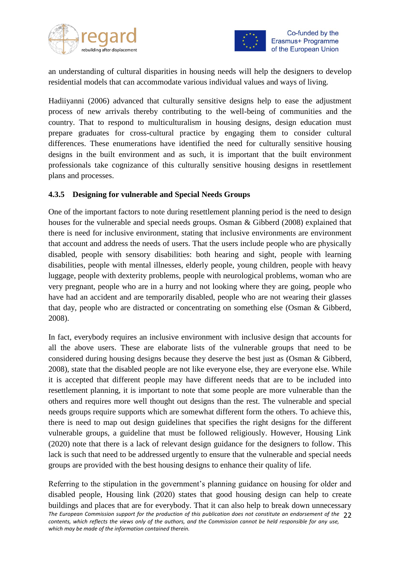



an understanding of cultural disparities in housing needs will help the designers to develop residential models that can accommodate various individual values and ways of living.

Hadiiyanni (2006) advanced that culturally sensitive designs help to ease the adjustment process of new arrivals thereby contributing to the well-being of communities and the country. That to respond to multiculturalism in housing designs, design education must prepare graduates for cross-cultural practice by engaging them to consider cultural differences. These enumerations have identified the need for culturally sensitive housing designs in the built environment and as such, it is important that the built environment professionals take cognizance of this culturally sensitive housing designs in resettlement plans and processes.

#### <span id="page-21-0"></span>**4.3.5 Designing for vulnerable and Special Needs Groups**

One of the important factors to note during resettlement planning period is the need to design houses for the vulnerable and special needs groups. Osman & Gibberd (2008) explained that there is need for inclusive environment, stating that inclusive environments are environment that account and address the needs of users. That the users include people who are physically disabled, people with sensory disabilities: both hearing and sight, people with learning disabilities, people with mental illnesses, elderly people, young children, people with heavy luggage, people with dexterity problems, people with neurological problems, woman who are very pregnant, people who are in a hurry and not looking where they are going, people who have had an accident and are temporarily disabled, people who are not wearing their glasses that day, people who are distracted or concentrating on something else (Osman & Gibberd, 2008).

In fact, everybody requires an inclusive environment with inclusive design that accounts for all the above users. These are elaborate lists of the vulnerable groups that need to be considered during housing designs because they deserve the best just as (Osman & Gibberd, 2008), state that the disabled people are not like everyone else, they are everyone else. While it is accepted that different people may have different needs that are to be included into resettlement planning, it is important to note that some people are more vulnerable than the others and requires more well thought out designs than the rest. The vulnerable and special needs groups require supports which are somewhat different form the others. To achieve this, there is need to map out design guidelines that specifies the right designs for the different vulnerable groups, a guideline that must be followed religiously. However, Housing Link (2020) note that there is a lack of relevant design guidance for the designers to follow. This lack is such that need to be addressed urgently to ensure that the vulnerable and special needs groups are provided with the best housing designs to enhance their quality of life.

*The European Commission support for the production of this publication does not constitute an endorsement of the*  22 *contents, which reflects the views only of the authors, and the Commission cannot be held responsible for any use, which may be made of the information contained therein.* Referring to the stipulation in the government's planning guidance on housing for older and disabled people, Housing link (2020) states that good housing design can help to create buildings and places that are for everybody. That it can also help to break down unnecessary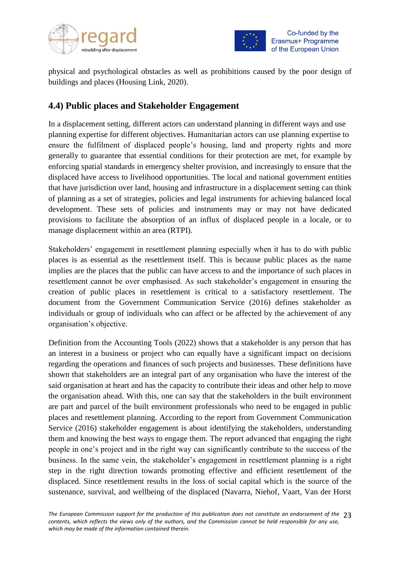



physical and psychological obstacles as well as prohibitions caused by the poor design of buildings and places (Housing Link, 2020).

# <span id="page-22-0"></span>**4.4) Public places and Stakeholder Engagement**

In a displacement setting, different actors can understand planning in different ways and use planning expertise for different objectives. Humanitarian actors can use planning expertise to ensure the fulfilment of displaced people's housing, land and property rights and more generally to guarantee that essential conditions for their protection are met, for example by enforcing spatial standards in emergency shelter provision, and increasingly to ensure that the displaced have access to livelihood opportunities. The local and national government entities that have jurisdiction over land, housing and infrastructure in a displacement setting can think of planning as a set of strategies, policies and legal instruments for achieving balanced local development. These sets of policies and instruments may or may not have dedicated provisions to facilitate the absorption of an influx of displaced people in a locale, or to manage displacement within an area (RTPI).

Stakeholders' engagement in resettlement planning especially when it has to do with public places is as essential as the resettlement itself. This is because public places as the name implies are the places that the public can have access to and the importance of such places in resettlement cannot be over emphasised. As such stakeholder's engagement in ensuring the creation of public places in resettlement is critical to a satisfactory resettlement. The document from the Government Communication Service (2016) defines stakeholder as individuals or group of individuals who can affect or be affected by the achievement of any organisation's objective.

Definition from the Accounting Tools (2022) shows that a stakeholder is any person that has an interest in a business or project who can equally have a significant impact on decisions regarding the operations and finances of such projects and businesses. These definitions have shown that stakeholders are an integral part of any organisation who have the interest of the said organisation at heart and has the capacity to contribute their ideas and other help to move the organisation ahead. With this, one can say that the stakeholders in the built environment are part and parcel of the built environment professionals who need to be engaged in public places and resettlement planning. According to the report from Government Communication Service (2016) stakeholder engagement is about identifying the stakeholders, understanding them and knowing the best ways to engage them. The report advanced that engaging the right people in one's project and in the right way can significantly contribute to the success of the business. In the same vein, the stakeholder's engagement in resettlement planning is a right step in the right direction towards promoting effective and efficient resettlement of the displaced. Since resettlement results in the loss of social capital which is the source of the sustenance, survival, and wellbeing of the displaced (Navarra, Niehof, Vaart, Van der Horst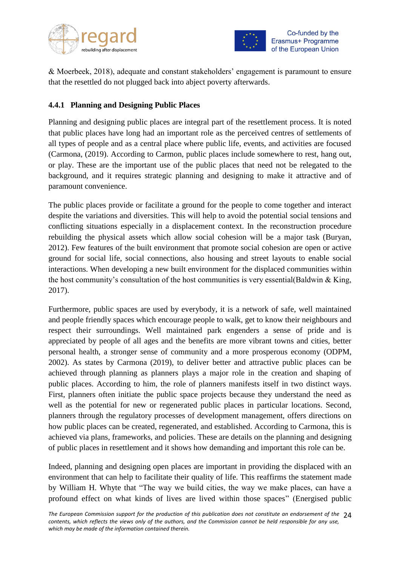



& Moerbeek, 2018), adequate and constant stakeholders' engagement is paramount to ensure that the resettled do not plugged back into abject poverty afterwards.

#### <span id="page-23-0"></span>**4.4.1 Planning and Designing Public Places**

Planning and designing public places are integral part of the resettlement process. It is noted that public places have long had an important role as the perceived centres of settlements of all types of people and as a central place where public life, events, and activities are focused (Carmona, (2019). According to Carmon, public places include somewhere to rest, hang out, or play. These are the important use of the public places that need not be relegated to the background, and it requires strategic planning and designing to make it attractive and of paramount convenience.

The public places provide or facilitate a ground for the people to come together and interact despite the variations and diversities. This will help to avoid the potential social tensions and conflicting situations especially in a displacement context. In the reconstruction procedure rebuilding the physical assets which allow social cohesion will be a major task (Buryan, 2012). Few features of the built environment that promote social cohesion are open or active ground for social life, social connections, also housing and street layouts to enable social interactions. When developing a new built environment for the displaced communities within the host community's consultation of the host communities is very essential (Baldwin  $&$  King, 2017).

Furthermore, public spaces are used by everybody, it is a network of safe, well maintained and people friendly spaces which encourage people to walk, get to know their neighbours and respect their surroundings. Well maintained park engenders a sense of pride and is appreciated by people of all ages and the benefits are more vibrant towns and cities, better personal health, a stronger sense of community and a more prosperous economy (ODPM, 2002). As states by Carmona (2019), to deliver better and attractive public places can be achieved through planning as planners plays a major role in the creation and shaping of public places. According to him, the role of planners manifests itself in two distinct ways. First, planners often initiate the public space projects because they understand the need as well as the potential for new or regenerated public places in particular locations. Second, planners through the regulatory processes of development management, offers directions on how public places can be created, regenerated, and established. According to Carmona, this is achieved via plans, frameworks, and policies. These are details on the planning and designing of public places in resettlement and it shows how demanding and important this role can be.

Indeed, planning and designing open places are important in providing the displaced with an environment that can help to facilitate their quality of life. This reaffirms the statement made by William H. Whyte that "The way we build cities, the way we make places, can have a profound effect on what kinds of lives are lived within those spaces" (Energised public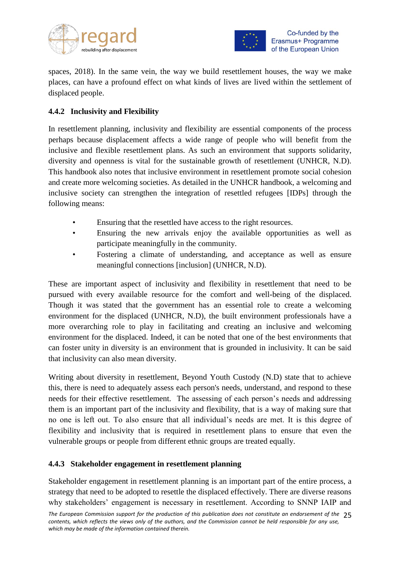



spaces, 2018). In the same vein, the way we build resettlement houses, the way we make places, can have a profound effect on what kinds of lives are lived within the settlement of displaced people.

#### <span id="page-24-0"></span>**4.4.2 Inclusivity and Flexibility**

In resettlement planning, inclusivity and flexibility are essential components of the process perhaps because displacement affects a wide range of people who will benefit from the inclusive and flexible resettlement plans. As such an environment that supports solidarity, diversity and openness is vital for the sustainable growth of resettlement (UNHCR, N.D). This handbook also notes that inclusive environment in resettlement promote social cohesion and create more welcoming societies. As detailed in the UNHCR handbook, a welcoming and inclusive society can strengthen the integration of resettled refugees [IDPs] through the following means:

- Ensuring that the resettled have access to the right resources.
- Ensuring the new arrivals enjoy the available opportunities as well as participate meaningfully in the community.
- Fostering a climate of understanding, and acceptance as well as ensure meaningful connections [inclusion] (UNHCR, N.D).

These are important aspect of inclusivity and flexibility in resettlement that need to be pursued with every available resource for the comfort and well-being of the displaced. Though it was stated that the government has an essential role to create a welcoming environment for the displaced (UNHCR, N.D), the built environment professionals have a more overarching role to play in facilitating and creating an inclusive and welcoming environment for the displaced. Indeed, it can be noted that one of the best environments that can foster unity in diversity is an environment that is grounded in inclusivity. It can be said that inclusivity can also mean diversity.

Writing about diversity in resettlement, Beyond Youth Custody (N.D) state that to achieve this, there is need to adequately assess each person's needs, understand, and respond to these needs for their effective resettlement. The assessing of each person's needs and addressing them is an important part of the inclusivity and flexibility, that is a way of making sure that no one is left out. To also ensure that all individual's needs are met. It is this degree of flexibility and inclusivity that is required in resettlement plans to ensure that even the vulnerable groups or people from different ethnic groups are treated equally.

#### <span id="page-24-1"></span>**4.4.3 Stakeholder engagement in resettlement planning**

Stakeholder engagement in resettlement planning is an important part of the entire process, a strategy that need to be adopted to resettle the displaced effectively. There are diverse reasons why stakeholders' engagement is necessary in resettlement. According to SNNP IAIP and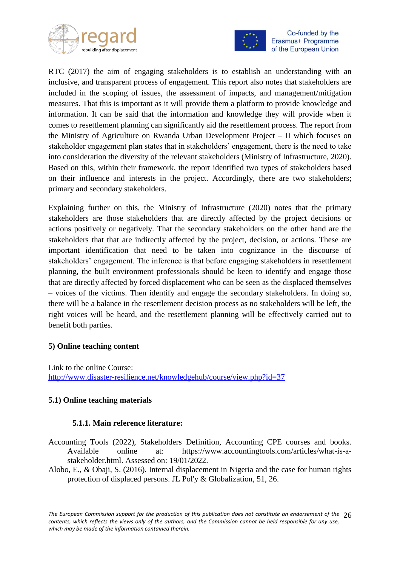



RTC (2017) the aim of engaging stakeholders is to establish an understanding with an inclusive, and transparent process of engagement. This report also notes that stakeholders are included in the scoping of issues, the assessment of impacts, and management/mitigation measures. That this is important as it will provide them a platform to provide knowledge and information. It can be said that the information and knowledge they will provide when it comes to resettlement planning can significantly aid the resettlement process. The report from the Ministry of Agriculture on Rwanda Urban Development Project – II which focuses on stakeholder engagement plan states that in stakeholders' engagement, there is the need to take into consideration the diversity of the relevant stakeholders (Ministry of Infrastructure, 2020). Based on this, within their framework, the report identified two types of stakeholders based on their influence and interests in the project. Accordingly, there are two stakeholders; primary and secondary stakeholders.

Explaining further on this, the Ministry of Infrastructure (2020) notes that the primary stakeholders are those stakeholders that are directly affected by the project decisions or actions positively or negatively. That the secondary stakeholders on the other hand are the stakeholders that that are indirectly affected by the project, decision, or actions. These are important identification that need to be taken into cognizance in the discourse of stakeholders' engagement. The inference is that before engaging stakeholders in resettlement planning, the built environment professionals should be keen to identify and engage those that are directly affected by forced displacement who can be seen as the displaced themselves – voices of the victims. Then identify and engage the secondary stakeholders. In doing so, there will be a balance in the resettlement decision process as no stakeholders will be left, the right voices will be heard, and the resettlement planning will be effectively carried out to benefit both parties.

#### **5) Online teaching content**

Link to the online Course: <http://www.disaster-resilience.net/knowledgehub/course/view.php?id=37>

#### **5.1) Online teaching materials**

#### **5.1.1. Main reference literature:**

- Accounting Tools (2022), Stakeholders Definition, Accounting CPE courses and books. Available online at: https://www.accountingtools.com/articles/what-is-astakeholder.html. Assessed on: 19/01/2022.
- Alobo, E., & Obaji, S. (2016). Internal displacement in Nigeria and the case for human rights protection of displaced persons. JL Pol'y & Globalization, 51, 26.

The European Commission support for the production of this publication does not constitute an endorsement of the 26 *contents, which reflects the views only of the authors, and the Commission cannot be held responsible for any use, which may be made of the information contained therein.*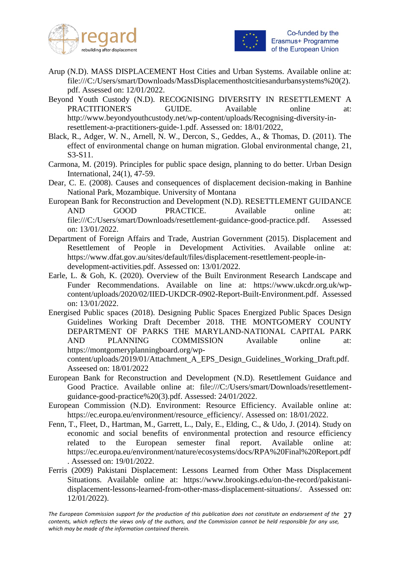



- Arup (N.D). MASS DISPLACEMENT Host Cities and Urban Systems. Available online at: [file:///C:/Users/smart/Downloads/MassDisplacementhostcitiesandurbansystems%20\(2\).](file:///C:/Users/smart/Downloads/MassDisplacementhostcitiesandurbansystems%20(2).pdf) [pdf.](file:///C:/Users/smart/Downloads/MassDisplacementhostcitiesandurbansystems%20(2).pdf) Assessed on: 12/01/2022.
- Beyond Youth Custody (N.D). RECOGNISING DIVERSITY IN RESETTLEMENT A PRACTITIONER'S GUIDE. Available online at: [http://www.beyondyouthcustody.net/wp-content/uploads/Recognising-diversity-in](http://www.beyondyouthcustody.net/wp-content/uploads/Recognising-diversity-in-resettlement-a-practitioners-guide-1.pdf)[resettlement-a-practitioners-guide-1.pdf.](http://www.beyondyouthcustody.net/wp-content/uploads/Recognising-diversity-in-resettlement-a-practitioners-guide-1.pdf) Assessed on: 18/01/2022,
- Black, R., Adger, W. N., Arnell, N. W., Dercon, S., Geddes, A., & Thomas, D. (2011). The effect of environmental change on human migration. Global environmental change, 21, S3-S11.
- Carmona, M. (2019). Principles for public space design, planning to do better. Urban Design International, 24(1), 47-59.
- Dear, C. E. (2008). Causes and consequences of displacement decision-making in Banhine National Park, Mozambique. University of Montana
- European Bank for Reconstruction and Development (N.D). RESETTLEMENT GUIDANCE AND GOOD PRACTICE. Available online at: [file:///C:/Users/smart/Downloads/resettlement-guidance-good-practice.pdf.](file:///C:/Users/smart/Downloads/resettlement-guidance-good-practice.pdf) Assessed on: 13/01/2022.
- Department of Foreign Affairs and Trade, Austrian Government (2015). Displacement and Resettlement of People in Development Activities. Available online at: [https://www.dfat.gov.au/sites/default/files/displacement-resettlement-people-in](https://www.dfat.gov.au/sites/default/files/displacement-resettlement-people-in-development-activities.pdf)[development-activities.pdf.](https://www.dfat.gov.au/sites/default/files/displacement-resettlement-people-in-development-activities.pdf) Assessed on: 13/01/2022.
- Earle, L. & Goh, K. (2020). Overview of the Built Environment Research Landscape and Funder Recommendations. Available on line at: [https://www.ukcdr.org.uk/wp](https://www.ukcdr.org.uk/wp-content/uploads/2020/02/IIED-UKDCR-0902-Report-Built-Environment.pdf)[content/uploads/2020/02/IIED-UKDCR-0902-Report-Built-Environment.pdf.](https://www.ukcdr.org.uk/wp-content/uploads/2020/02/IIED-UKDCR-0902-Report-Built-Environment.pdf) Assessed on: 13/01/2022.
- Energised Public spaces (2018). Designing Public Spaces Energized Public Spaces Design Guidelines Working Draft December 2018. THE MONTGOMERY COUNTY DEPARTMENT OF PARKS THE MARYLAND-NATIONAL CAPITAL PARK AND PLANNING COMMISSION Available online at: https://montgomeryplanningboard.org/wp-

content/uploads/2019/01/Attachment\_A\_EPS\_Design\_Guidelines\_Working\_Draft.pdf. Asseesed on: 18/01/2022

- European Bank for Reconstruction and Development (N.D). Resettlement Guidance and Good Practice. Available online at: file:///C:/Users/smart/Downloads/resettlementguidance-good-practice%20(3).pdf. Assessed: 24/01/2022.
- European Commission (N.D). Environment: Resource Efficiency. Available online at: https://ec.europa.eu/environment/resource\_efficiency/. Assessed on: 18/01/2022.
- Fenn, T., Fleet, D., Hartman, M., Garrett, L., Daly, E., Elding, C., & Udo, J. (2014). Study on economic and social benefits of environmental protection and resource efficiency related to the European semester final report. Available online at: https://ec.europa.eu/environment/nature/ecosystems/docs/RPA%20Final%20Report.pdf . Assessed on: 19/01/2022.
- Ferris (2009) Pakistani Displacement: Lessons Learned from Other Mass Displacement Situations. Available online at: [https://www.brookings.edu/on-the-record/pakistani](https://www.brookings.edu/on-the-record/pakistani-displacement-lessons-learned-from-other-mass-displacement-situations/)[displacement-lessons-learned-from-other-mass-displacement-situations/.](https://www.brookings.edu/on-the-record/pakistani-displacement-lessons-learned-from-other-mass-displacement-situations/) Assessed on: 12/01/2022).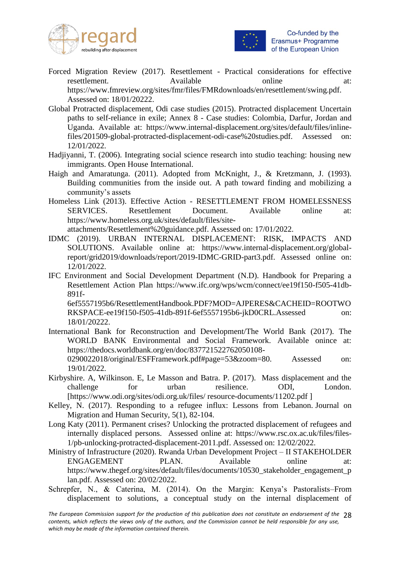



- Forced Migration Review (2017). Resettlement Practical considerations for effective resettlement. Available online at: https://www.fmreview.org/sites/fmr/files/FMRdownloads/en/resettlement/swing.pdf. Assessed on: 18/01/20222.
- Global Protracted displacement, Odi case studies (2015). Protracted displacement Uncertain paths to self-reliance in exile; Annex 8 - Case studies: Colombia, Darfur, Jordan and Uganda. Available at: https://www.internal-displacement.org/sites/default/files/inlinefiles/201509-global-protracted-displacement-odi-case%20studies.pdf. Assessed on: 12/01/2022.
- Hadjiyanni, T. (2006). Integrating social science research into studio teaching: housing new immigrants. Open House International.
- Haigh and Amaratunga. (2011). Adopted from McKnight, J., & Kretzmann, J. (1993). Building communities from the inside out. A path toward finding and mobilizing a community's assets
- Homeless Link (2013). Effective Action RESETTLEMENT FROM HOMELESSNESS SERVICES. Resettlement Document. Available online at: https://www.homeless.org.uk/sites/default/files/siteattachments/Resettlement%20guidance.pdf. Assessed on: 17/01/2022.
- IDMC (2019). URBAN INTERNAL DISPLACEMENT: RISK, IMPACTS AND SOLUTIONS. Available online at: [https://www.internal-displacement.org/global](https://www.internal-displacement.org/global-report/grid2019/downloads/report/2019-IDMC-GRID-part3.pdf)[report/grid2019/downloads/report/2019-IDMC-GRID-part3.pdf.](https://www.internal-displacement.org/global-report/grid2019/downloads/report/2019-IDMC-GRID-part3.pdf) Assessed online on: 12/01/2022.
- IFC Environment and Social Development Department (N.D). Handbook for Preparing a Resettlement Action Plan https://www.ifc.org/wps/wcm/connect/ee19f150-f505-41db-891f-

6ef5557195b6/ResettlementHandbook.PDF?MOD=AJPERES&CACHEID=ROOTWO RKSPACE-ee19f150-f505-41db-891f-6ef5557195b6-jkD0CRL.Assessed on: 18/01/20222.

- International Bank for Reconstruction and Development/The World Bank (2017). The WORLD BANK Environmental and Social Framework. Available onince at: https://thedocs.worldbank.org/en/doc/837721522762050108- 0290022018/original/ESFFramework.pdf#page=53&zoom=80. Assessed on:
- 19/01/2022. Kirbyshire. A, Wilkinson. E, Le Masson and Batra. P. (2017). Mass displacement and the challenge for urban resilience. ODI, London.

[https://www.odi.org/sites/odi.org.uk/files/ resource-documents/11202.pdf ]

- Kelley, N. (2017). Responding to a refugee influx: Lessons from Lebanon. Journal on Migration and Human Security, 5(1), 82-104.
- Long Katy (2011). Permanent crises? Unlocking the protracted displacement of refugees and internally displaced persons. Assessed online at: [https://www.rsc.ox.ac.uk/files/files-](https://www.rsc.ox.ac.uk/files/files-1/pb-unlocking-protracted-displacement-2011.pdf)[1/pb-unlocking-protracted-displacement-2011.pdf.](https://www.rsc.ox.ac.uk/files/files-1/pb-unlocking-protracted-displacement-2011.pdf) Assessed on: 12/02/2022.
- Ministry of Infrastructure (2020). Rwanda Urban Development Project II STAKEHOLDER ENGAGEMENT PLAN. Available online at: https://www.thegef.org/sites/default/files/documents/10530\_stakeholder\_engagement\_p lan.pdf. Assessed on: 20/02/2022.
- Schrepfer, N., & Caterina, M. (2014). On the Margin: Kenya's Pastoralists–From displacement to solutions, a conceptual study on the internal displacement of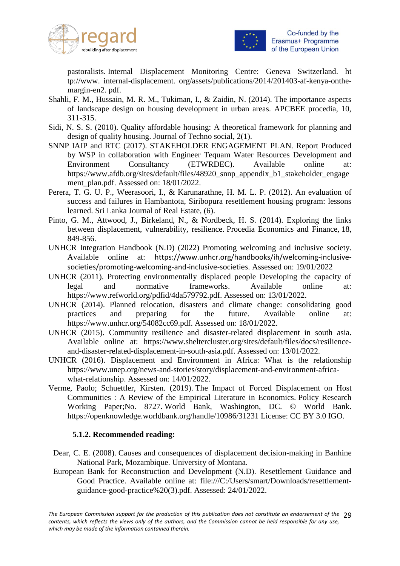



pastoralists. Internal Displacement Monitoring Centre: Geneva Switzerland. ht tp://www. internal-displacement. org/assets/publications/2014/201403-af-kenya-onthemargin-en2. pdf.

- Shahli, F. M., Hussain, M. R. M., Tukiman, I., & Zaidin, N. (2014). The importance aspects of landscape design on housing development in urban areas. APCBEE procedia, 10, 311-315.
- Sidi, N. S. S. (2010). Quality affordable housing: A theoretical framework for planning and design of quality housing. Journal of Techno social, 2(1).
- SNNP IAIP and RTC (2017). STAKEHOLDER ENGAGEMENT PLAN. Report Produced by WSP in collaboration with Engineer Tequam Water Resources Development and Environment Consultancy (ETWRDEC). Available online at: https://www.afdb.org/sites/default/files/48920\_snnp\_appendix\_b1\_stakeholder\_engage ment plan.pdf. Assessed on: 18/01/2022.
- Perera, T. G. U. P., Weerasoori, I., & Karunarathne, H. M. L. P. (2012). An evaluation of success and failures in Hambantota, Siribopura resettlement housing program: lessons learned. Sri Lanka Journal of Real Estate, (6).
- Pinto, G. M., Attwood, J., Birkeland, N., & Nordbeck, H. S. (2014). Exploring the links between displacement, vulnerability, resilience. Procedia Economics and Finance, 18, 849-856.
- UNHCR Integration Handbook (N.D) (2022) Promoting welcoming and inclusive society. Available online at: [https://www.unhcr.org/handbooks/ih/welcoming-inclusive](https://www.unhcr.org/handbooks/ih/welcoming-inclusive-societies/promoting-welcoming-and-inclusive-societies)[societies/promoting-welcoming-and-inclusive-societies](https://www.unhcr.org/handbooks/ih/welcoming-inclusive-societies/promoting-welcoming-and-inclusive-societies). Assessed on: 19/01/2022
- UNHCR (2011). Protecting environmentally displaced people Developing the capacity of legal and normative frameworks. Available online at: [https://www.refworld.org/pdfid/4da579792.pdf.](https://www.refworld.org/pdfid/4da579792.pdf) Assessed on: 13/01/2022.
- UNHCR (2014). Planned relocation, disasters and climate change: consolidating good practices and preparing for the future. Available online at: https://www.unhcr.org/54082cc69.pdf. Assessed on: 18/01/2022.
- UNHCR (2015). Community resilience and disaster-related displacement in south asia. Available online at: [https://www.sheltercluster.org/sites/default/files/docs/resilience](https://www.sheltercluster.org/sites/default/files/docs/resilience-and-disaster-related-displacement-in-south-asia.pdf)[and-disaster-related-displacement-in-south-asia.pdf.](https://www.sheltercluster.org/sites/default/files/docs/resilience-and-disaster-related-displacement-in-south-asia.pdf) Assessed on: 13/01/2022.
- UNHCR (2016). Displacement and Environment in Africa: What is the relationship [https://www.unep.org/news-and-stories/story/displacement-and-environment-africa](https://www.unep.org/news-and-stories/story/displacement-and-environment-africa-what-relationship)[what-relationship.](https://www.unep.org/news-and-stories/story/displacement-and-environment-africa-what-relationship) Assessed on: 14/01/2022.
- Verme, Paolo; Schuettler, Kirsten. (2019). The Impact of Forced Displacement on Host Communities : A Review of the Empirical Literature in Economics. Policy Research Working Paper;No. 8727. World Bank, Washington, DC. © World Bank. https://openknowledge.worldbank.org/handle/10986/31231 License: CC BY 3.0 IGO.

#### **5.1.2. Recommended reading:**

- Dear, C. E. (2008). Causes and consequences of displacement decision-making in Banhine National Park, Mozambique. University of Montana.
- European Bank for Reconstruction and Development (N.D). Resettlement Guidance and Good Practice. Available online at: file:///C:/Users/smart/Downloads/resettlementguidance-good-practice%20(3).pdf. Assessed: 24/01/2022.

The European Commission support for the production of this publication does not constitute an endorsement of the 29 *contents, which reflects the views only of the authors, and the Commission cannot be held responsible for any use, which may be made of the information contained therein.*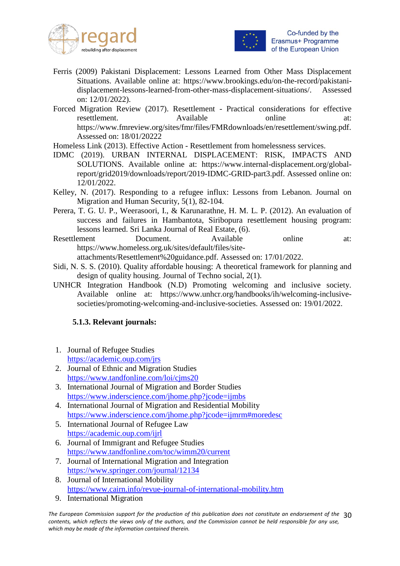



- Ferris (2009) Pakistani Displacement: Lessons Learned from Other Mass Displacement Situations. Available online at: https://www.brookings.edu/on-the-record/pakistanidisplacement-lessons-learned-from-other-mass-displacement-situations/. Assessed on: 12/01/2022).
- Forced Migration Review (2017). Resettlement Practical considerations for effective resettlement. Available online at: https://www.fmreview.org/sites/fmr/files/FMRdownloads/en/resettlement/swing.pdf. Assessed on: 18/01/20222
- Homeless Link (2013). Effective Action Resettlement from homelessness services.
- IDMC (2019). URBAN INTERNAL DISPLACEMENT: RISK, IMPACTS AND SOLUTIONS. Available online at: https://www.internal-displacement.org/globalreport/grid2019/downloads/report/2019-IDMC-GRID-part3.pdf. Assessed online on: 12/01/2022.
- Kelley, N. (2017). Responding to a refugee influx: Lessons from Lebanon. Journal on Migration and Human Security, 5(1), 82-104.
- Perera, T. G. U. P., Weerasoori, I., & Karunarathne, H. M. L. P. (2012). An evaluation of success and failures in Hambantota, Siribopura resettlement housing program: lessons learned. Sri Lanka Journal of Real Estate, (6).
- Resettlement Document. Available online at: https://www.homeless.org.uk/sites/default/files/siteattachments/Resettlement%20guidance.pdf. Assessed on: 17/01/2022.
- Sidi, N. S. S. (2010). Quality affordable housing: A theoretical framework for planning and design of quality housing. Journal of Techno social, 2(1).
- UNHCR Integration Handbook (N.D) Promoting welcoming and inclusive society. Available online at: https://www.unhcr.org/handbooks/ih/welcoming-inclusivesocieties/promoting-welcoming-and-inclusive-societies. Assessed on: 19/01/2022.

#### **5.1.3. Relevant journals:**

- 1. Journal of Refugee Studies <https://academic.oup.com/jrs>
- 2. Journal of Ethnic and Migration Studies <https://www.tandfonline.com/loi/cjms20>
- 3. International Journal of Migration and Border Studies <https://www.inderscience.com/jhome.php?jcode=ijmbs>
- 4. International Journal of Migration and Residential Mobility <https://www.inderscience.com/jhome.php?jcode=ijmrm#moredesc>
- 5. International Journal of Refugee Law <https://academic.oup.com/ijrl>
- 6. Journal of Immigrant and Refugee Studies <https://www.tandfonline.com/toc/wimm20/current>
- 7. Journal of International Migration and Integration <https://www.springer.com/journal/12134>
- 8. Journal of International Mobility <https://www.cairn.info/revue-journal-of-international-mobility.htm>
- 9. International Migration

*The European Commission support for the production of this publication does not constitute an endorsement of the*  30 *contents, which reflects the views only of the authors, and the Commission cannot be held responsible for any use, which may be made of the information contained therein.*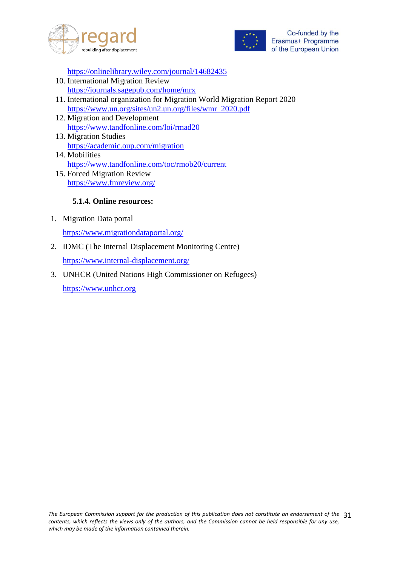



<https://onlinelibrary.wiley.com/journal/14682435>

- 10. International Migration Review <https://journals.sagepub.com/home/mrx>
- 11. International organization for Migration World Migration Report 2020 [https://www.un.org/sites/un2.un.org/files/wmr\\_2020.pdf](https://www.un.org/sites/un2.un.org/files/wmr_2020.pdf)
- 12. Migration and Development <https://www.tandfonline.com/loi/rmad20>
- 13. Migration Studies <https://academic.oup.com/migration>
- 14. Mobilities <https://www.tandfonline.com/toc/rmob20/current> 15. Forced Migration Review
- <https://www.fmreview.org/>

#### **5.1.4. Online resources:**

1. Migration Data portal

<https://www.migrationdataportal.org/>

- 2. IDMC (The Internal Displacement Monitoring Centre) <https://www.internal-displacement.org/>
- 3. UNHCR (United Nations High Commissioner on Refugees) [https://www.unhcr.org](https://www.unhcr.org/)